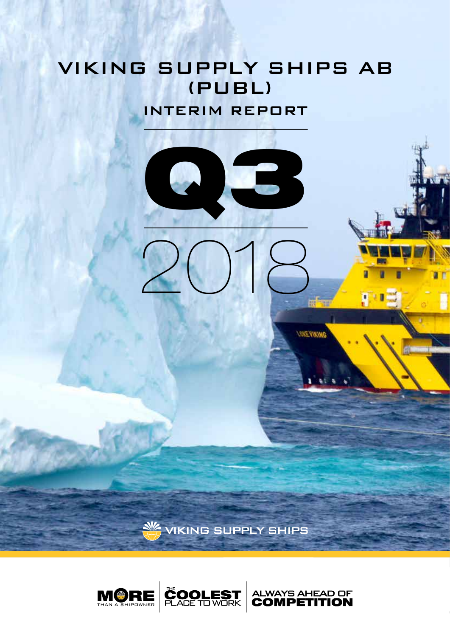# **VIKING SUPPLY SHIPS AB** (PUBL)

**INTERIM REPORT** 



*SHEYWING* 

V VIKING SUPPLY SHIPS

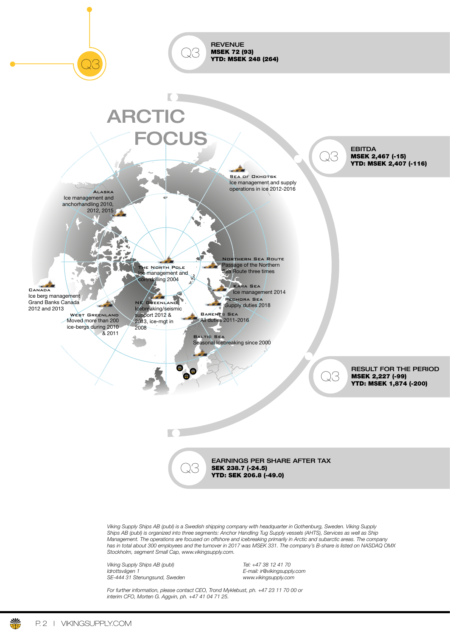

*Viking Supply Ships AB (publ) is a Swedish shipping company with headquarter in Gothenburg, Sweden. Viking Supply Ships AB (publ) is organized into three segments: Anchor Handling Tug Supply vessels (AHTS), Services as well as Ship Management. The operations are focused on offshore and icebreaking primarily in Arctic and subarctic areas. The company has in total about 300 employees and the turnover in 2017 was MSEK 331. The company's B-share is listed on NASDAQ OMX Stockholm, segment Small Cap, www.vikingsupply.com.*

*Viking Supply Ships AB (publ) Tel: +47 38 12 41 70 SE-444 31 Stenungsund, Sweden* 

*Idrottsvägen 1 E-mail: ir@vikingsupply.com*

*For further information, please contact CEO, Trond Myklebust, ph. +47 23 11 70 00 or interim CFO, Morten G. Aggvin, ph. +47 41 04 71 25.*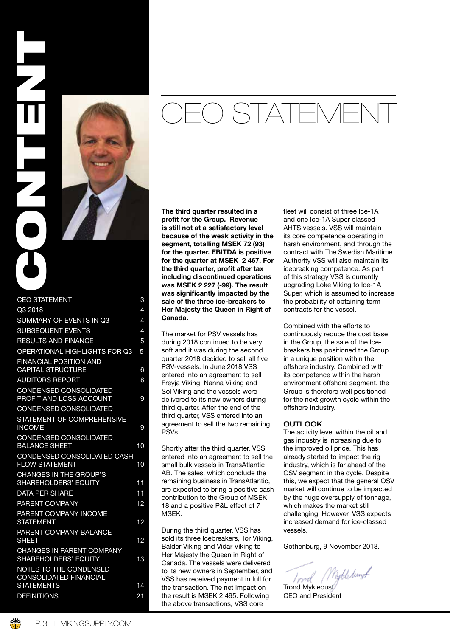



| 3               |
|-----------------|
| 4               |
| 4               |
| 4               |
| 5               |
| 5               |
| 6               |
| 8               |
| 9               |
|                 |
| 9               |
| 10              |
| 10              |
| 11              |
| 11              |
| 12              |
| 12              |
| 12              |
| 13              |
|                 |
| 14              |
| $\overline{21}$ |
|                 |

# CEO STATEMENT

The third quarter resulted in a profit for the Group. Revenue is still not at a satisfactory level because of the weak activity in the segment, totalling MSEK 72 (93) for the quarter. EBITDA is positive for the quarter at MSEK 2 467. For the third quarter, profit after tax including discontinued operations was MSEK 2 227 (-99). The result was significantly impacted by the sale of the three ice-breakers to Her Majesty the Queen in Right of Canada.

The market for PSV vessels has during 2018 continued to be very soft and it was during the second quarter 2018 decided to sell all five PSV-vessels. In June 2018 VSS entered into an agreement to sell Freyja Viking, Nanna Viking and Sol Viking and the vessels were delivered to its new owners during third quarter. After the end of the third quarter, VSS entered into an agreement to sell the two remaining PSVs.

Shortly after the third quarter, VSS entered into an agreement to sell the small bulk vessels in TransAtlantic AB. The sales, which conclude the remaining business in TransAtlantic, are expected to bring a positive cash contribution to the Group of MSEK 18 and a positive P&L effect of 7 MSEK.

During the third quarter, VSS has sold its three Icebreakers, Tor Viking, Balder Viking and Vidar Viking to Her Majesty the Queen in Right of Canada. The vessels were delivered to its new owners in September, and VSS has received payment in full for the transaction. The net impact on the result is MSEK 2 495. Following the above transactions, VSS core

fleet will consist of three Ice-1A and one Ice-1A Super classed AHTS vessels. VSS will maintain its core competence operating in harsh environment, and through the contract with The Swedish Maritime Authority VSS will also maintain its icebreaking competence. As part of this strategy VSS is currently upgrading Loke Viking to Ice-1A Super, which is assumed to increase the probability of obtaining term contracts for the vessel.

Combined with the efforts to continuously reduce the cost base in the Group, the sale of the Icebreakers has positioned the Group in a unique position within the offshore industry. Combined with its competence within the harsh environment offshore segment, the Group is therefore well positioned for the next growth cycle within the offshore industry.

### **OUTLOOK**

The activity level within the oil and gas industry is increasing due to the improved oil price. This has already started to impact the rig industry, which is far ahead of the OSV segment in the cycle. Despite this, we expect that the general OSV market will continue to be impacted by the huge oversupply of tonnage, which makes the market still challenging. However, VSS expects increased demand for ice-classed vessels.

Gothenburg, 9 November 2018.

Nukledung <del>/</del> l vwd

Trond Myklebust CEO and President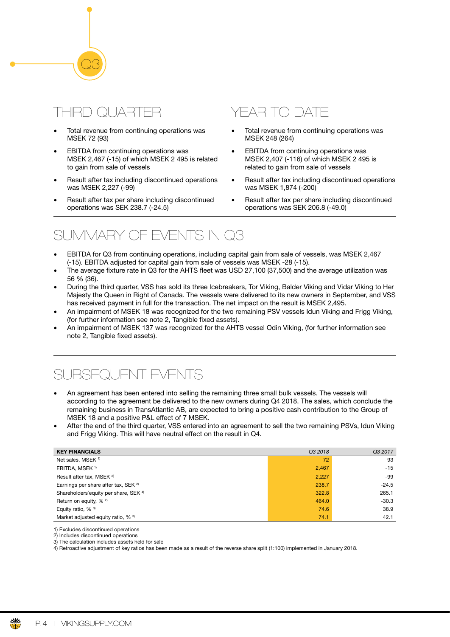# $\exists$ RI

Q3

- Total revenue from continuing operations was MSEK 72 (93)
- EBITDA from continuing operations was MSEK 2,467 (-15) of which MSEK 2 495 is related to gain from sale of vessels
- Result after tax including discontinued operations was MSEK 2,227 (-99)
- Result after tax per share including discontinued operations was SEK 238.7 (-24.5)

# YEAR TO DATE

- Total revenue from continuing operations was MSEK 248 (264)
- EBITDA from continuing operations was MSEK 2,407 (-116) of which MSEK 2 495 is related to gain from sale of vessels
- Result after tax including discontinued operations was MSEK 1,874 (-200)
- Result after tax per share including discontinued operations was SEK 206.8 (-49.0)

# SUMMARY OF EVENTS IN Q3

- EBITDA for Q3 from continuing operations, including capital gain from sale of vessels, was MSEK 2,467 (-15). EBITDA adjusted for capital gain from sale of vessels was MSEK -28 (-15).
- The average fixture rate in Q3 for the AHTS fleet was USD 27,100 (37,500) and the average utilization was 56 % (36).
- During the third quarter, VSS has sold its three Icebreakers, Tor Viking, Balder Viking and Vidar Viking to Her Majesty the Queen in Right of Canada. The vessels were delivered to its new owners in September, and VSS has received payment in full for the transaction. The net impact on the result is MSEK 2,495.
- An impairment of MSEK 18 was recognized for the two remaining PSV vessels Idun Viking and Frigg Viking, (for further information see note 2, Tangible fixed assets).
- An impairment of MSEK 137 was recognized for the AHTS vessel Odin Viking, (for further information see note 2, Tangible fixed assets).

# JBSEQUENT EVENTS

- An agreement has been entered into selling the remaining three small bulk vessels. The vessels will according to the agreement be delivered to the new owners during Q4 2018. The sales, which conclude the remaining business in TransAtlantic AB, are expected to bring a positive cash contribution to the Group of MSEK 18 and a positive P&L effect of 7 MSEK.
- After the end of the third quarter, VSS entered into an agreement to sell the two remaining PSVs, Idun Viking and Frigg Viking. This will have neutral effect on the result in Q4.

| <b>KEY FINANCIALS</b>                             | Q3 2018 | Q3 2017 |
|---------------------------------------------------|---------|---------|
| Net sales, MSEK <sup>1)</sup>                     | 72      | 93      |
| EBITDA, MSEK <sup>1)</sup>                        | 2,467   | $-15$   |
| Result after tax, MSEK <sup>2)</sup>              | 2,227   | -99     |
| Earnings per share after tax, SEK <sup>2)</sup>   | 238.7   | $-24.5$ |
| Shareholders' equity per share, SEK <sup>4)</sup> | 322.8   | 265.1   |
| Return on equity, % <sup>2)</sup>                 | 464.0   | $-30.3$ |
| Equity ratio, % 3)                                | 74.6    | 38.9    |
| Market adjusted equity ratio, % <sup>3)</sup>     | 74.1    | 42.1    |

1) Excludes discontinued operations

2) Includes discontinued operations 3) The calculation includes assets held for sale

4) Retroactive adjustment of key ratios has been made as a result of the reverse share split (1:100) implemented in January 2018.

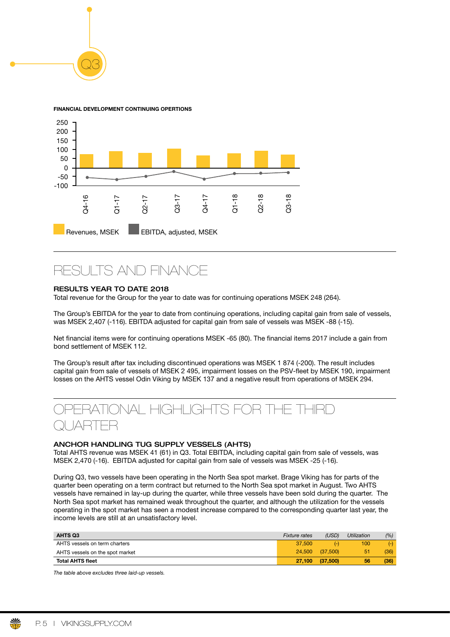

Q3



FSL II TS AND FINANCE

# RESULTS YEAR TO DATE 2018

Total revenue for the Group for the year to date was for continuing operations MSEK 248 (264).

The Group's EBITDA for the year to date from continuing operations, including capital gain from sale of vessels, was MSEK 2,407 (-116). EBITDA adjusted for capital gain from sale of vessels was MSEK -88 (-15).

Net financial items were for continuing operations MSEK -65 (80). The financial items 2017 include a gain from bond settlement of MSEK 112.

The Group's result after tax including discontinued operations was MSEK 1 874 (-200). The result includes capital gain from sale of vessels of MSEK 2 495, impairment losses on the PSV-fleet by MSEK 190, impairment losses on the AHTS vessel Odin Viking by MSEK 137 and a negative result from operations of MSEK 294.



### ANCHOR HANDLING TUG SUPPLY VESSELS (AHTS)

Total AHTS revenue was MSEK 41 (61) in Q3. Total EBITDA, including capital gain from sale of vessels, was MSEK 2,470 (-16). EBITDA adjusted for capital gain from sale of vessels was MSEK -25 (-16).

During Q3, two vessels have been operating in the North Sea spot market. Brage Viking has for parts of the quarter been operating on a term contract but returned to the North Sea spot market in August. Two AHTS vessels have remained in lay-up during the quarter, while three vessels have been sold during the quarter. The North Sea spot market has remained weak throughout the quarter, and although the utilization for the vessels operating in the spot market has seen a modest increase compared to the corresponding quarter last year, the income levels are still at an unsatisfactory level.

| <b>AHTS Q3</b>                  | <b>Fixture rates</b> | (USD)    | <b>Utilization</b> | (%)   |
|---------------------------------|----------------------|----------|--------------------|-------|
| AHTS vessels on term charters   | 37,500               | $(-)$    | 100                | $(-)$ |
| AHTS vessels on the spot market | 24,500               | (37.500) | 51                 | (36)  |
| <b>Total AHTS fleet</b>         | 27.100               | (37,500) | 56                 | (36)  |

*The table above excludes three laid-up vessels.*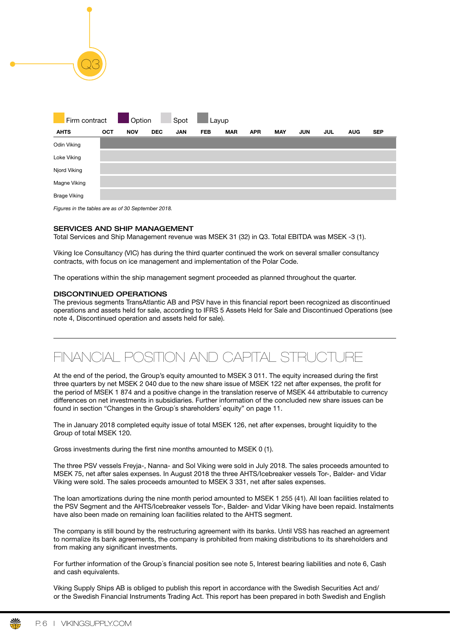| Firm contract       |            | Option<br>$\mathcal{L}(\mathcal{L})$ |            | Spot       | Layup      |            |            |            |            |            |            |            |
|---------------------|------------|--------------------------------------|------------|------------|------------|------------|------------|------------|------------|------------|------------|------------|
| <b>AHTS</b>         | <b>OCT</b> | <b>NOV</b>                           | <b>DEC</b> | <b>JAN</b> | <b>FEB</b> | <b>MAR</b> | <b>APR</b> | <b>MAY</b> | <b>JUN</b> | <b>JUL</b> | <b>AUG</b> | <b>SEP</b> |
| Odin Viking         |            |                                      |            |            |            |            |            |            |            |            |            |            |
| Loke Viking         |            |                                      |            |            |            |            |            |            |            |            |            |            |
| Njord Viking        |            |                                      |            |            |            |            |            |            |            |            |            |            |
| Magne Viking        |            |                                      |            |            |            |            |            |            |            |            |            |            |
| <b>Brage Viking</b> |            |                                      |            |            |            |            |            |            |            |            |            |            |

*Figures in the tables are as of 30 September 2018.*

Q3

### SERVICES AND SHIP MANAGEMENT

Total Services and Ship Management revenue was MSEK 31 (32) in Q3. Total EBITDA was MSEK -3 (1).

Viking Ice Consultancy (VIC) has during the third quarter continued the work on several smaller consultancy contracts, with focus on ice management and implementation of the Polar Code.

The operations within the ship management segment proceeded as planned throughout the quarter.

# DISCONTINUED OPERATIONS

The previous segments TransAtlantic AB and PSV have in this financial report been recognized as discontinued operations and assets held for sale, according to IFRS 5 Assets Held for Sale and Discontinued Operations (see note 4, Discontinued operation and assets held for sale).

# FINANCIAL POSITION AND CAPITAL STRUCTURE

At the end of the period, the Group's equity amounted to MSEK 3 011. The equity increased during the frst three quarters by net MSEK 2 040 due to the new share issue of MSEK 122 net after expenses, the proft for the period of MSEK 1 874 and a positive change in the translation reserve of MSEK 44 attributable to currency differences on net investments in subsidiaries. Further information of the concluded new share issues can be found in section "Changes in the Group´s shareholders´ equity" on page 11.

The in January 2018 completed equity issue of total MSEK 126, net after expenses, brought liquidity to the Group of total MSEK 120.

Gross investments during the first nine months amounted to MSEK 0 (1).

The three PSV vessels Freyja-, Nanna- and Sol Viking were sold in July 2018. The sales proceeds amounted to MSEK 75, net after sales expenses. In August 2018 the three AHTS/Icebreaker vessels Tor-, Balder- and Vidar Viking were sold. The sales proceeds amounted to MSEK 3 331, net after sales expenses.

The loan amortizations during the nine month period amounted to MSEK 1 255 (41). All loan facilities related to the PSV Segment and the AHTS/Icebreaker vessels Tor-, Balder- and Vidar Viking have been repaid. Instalments have also been made on remaining loan facilities related to the AHTS segment.

The company is still bound by the restructuring agreement with its banks. Until VSS has reached an agreement to normalize its bank agreements, the company is prohibited from making distributions to its shareholders and from making any significant investments.

For further information of the Group´s fnancial position see note 5, Interest bearing liabilities and note 6, Cash and cash equivalents.

Viking Supply Ships AB is obliged to publish this report in accordance with the Swedish Securities Act and/ or the Swedish Financial Instruments Trading Act. This report has been prepared in both Swedish and English

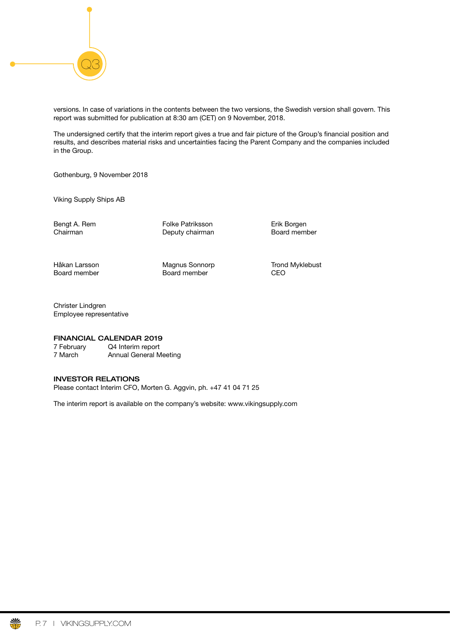

versions. In case of variations in the contents between the two versions, the Swedish version shall govern. This report was submitted for publication at 8:30 am (CET) on 9 November, 2018.

The undersigned certify that the interim report gives a true and fair picture of the Group's fnancial position and results, and describes material risks and uncertainties facing the Parent Company and the companies included in the Group.

Gothenburg, 9 November 2018

Viking Supply Ships AB

Bengt A. Rem Folke Patriksson Erik Borgen<br>Chairman Folke Petriksson Erik Board member Deputy chairman Board member

Board member Board member CEO

Håkan Larsson Magnus Sonnorp Trond Myklebust

Christer Lindgren Employee representative

# FINANCIAL CALENDAR 2019

7 February Q4 Interim report 7 March Annual General Meeting

### INVESTOR RELATIONS

Please contact Interim CFO, Morten G. Aggvin, ph. +47 41 04 71 25

The interim report is available on the company's website: www.vikingsupply.com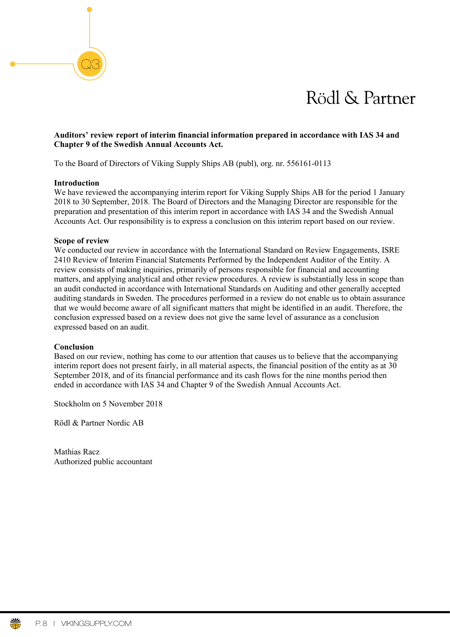# Rödl & Partner

# Auditors' review report of interim financial information prepared in accordance with IAS 34 and **Chapter 9 of the Swedish Annual Accounts Act.**

To the Board of Directors of Viking Supply Ships AB (publ), org. nr. 556161-0113

# **Introduction**

Q3

We have reviewed the accompanying interim report for Viking Supply Ships AB for the period 1 January 2018 to 30 September, 2018. The Board of Directors and the Managing Director are responsible for the presentation and presentation of this integrity are at the separation of the Synable Anguel preparation and presentation of this interim report in accordance with IAS 34 and the Swedish Annual preparation and presentation of this interim report in accordance with 1AS 34 and the swedish Annual Accounts Act. Our responsibility is to express a conclusion on this interim report based on our review. Vi har utfört en översig granska delårsrapport för Viking Supply Ships AB av bifogade delårsrapport för Viking Supply Ships AB ab antiwe have reviewed the accompanying interim report for Viking Supply Ships AB for the period is slutsats slutsats om desponsionly is to vapress a conclusion on this internt

# **Scope of review**

We conducted our review in accordance with the International Standard on Review Engagements, ISRE 2410 Review of Interim Financial Statements Performed by the Independent Auditor of the Entity. A review consists of making inquiries, primarily of persons responsible for financial and accounting review consists of making inquiries, primarily of persons responsible for financial and accounting matters, and applying analytical and other review procedures. A review is substantially less in scope than an audit conducted in accordance with International Standards on Auditing and other generally accepted auditing standards in Sweden. The procedures performed in a review do not enable us to obtain assurance that we would become aware of all significant matters that might be identified in an audit. Therefore, the conclusion expressed based on a review does not give the same level of assurance as a conclusion concrete the grandit expressed based on an audit. det inte möjligt för oss att skaffa oss en sådan säkerhet att vi blir medvetena om alla viktiga

#### **Conclusion** Conclusion

Based on our review, nothing has come to our attention that causes us to believe that the accompanying interim report does not present fairly, in all material aspects, the financial position of the entity as at 30 September 2018, and of its financial performance and its cash flows for the nine months period then ended in accordance with IAS 34 and Chapter 9 of the Swedish Annual Accounts Act. Grundat på vår översiktliga granskning har det inte kommit fram några omständigheter som ger oss

Stockholm on 5 November 2018

Rödl & Partner Nordic AB rättvisande bild av företagets finansiella ställning per den 30 september 2018 samt av dess finansiella

Mathias Racz Authorized public accountant

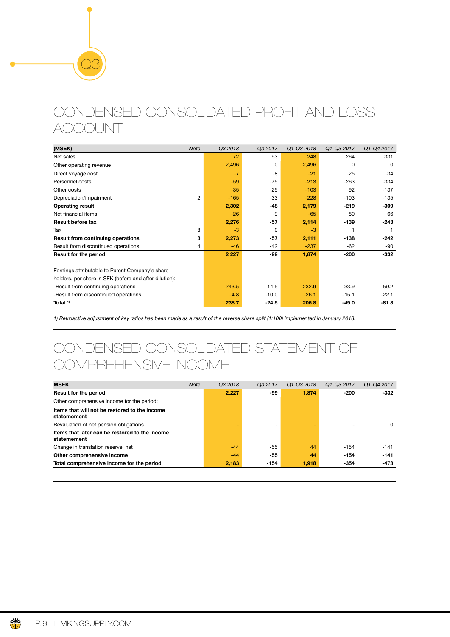# CONDENSED CONSOLIDATED PROFIT AND LOSS ACCOUNT

| (MSEK)                                                 | <b>Note</b> | Q3 2018 | Q3 2017 | Q1-Q3 2018 | Q1-Q3 2017 | Q1-Q4 2017 |
|--------------------------------------------------------|-------------|---------|---------|------------|------------|------------|
| Net sales                                              |             | 72      | 93      | 248        | 264        | 331        |
| Other operating revenue                                |             | 2,496   | 0       | 2,496      | $\Omega$   | $\Omega$   |
| Direct voyage cost                                     |             | $-7$    | -8      | $-21$      | $-25$      | $-34$      |
| Personnel costs                                        |             | $-59$   | $-75$   | $-213$     | $-263$     | $-334$     |
| Other costs                                            |             | $-35$   | $-25$   | $-103$     | $-92$      | $-137$     |
| Depreciation/impairment                                | 2           | $-165$  | -33     | $-228$     | $-103$     | $-135$     |
| <b>Operating result</b>                                |             | 2,302   | -48     | 2,179      | $-219$     | $-309$     |
| Net financial items                                    |             | $-26$   | -9      | $-65$      | 80         | 66         |
| <b>Result before tax</b>                               |             | 2,276   | $-57$   | 2,114      | $-139$     | $-243$     |
| Tax                                                    | 8           | $-3$    | 0       | $-3$       |            |            |
| <b>Result from continuing operations</b>               | 3           | 2,273   | $-57$   | 2,111      | -138       | $-242$     |
| Result from discontinued operations                    | 4           | $-46$   | $-42$   | $-237$     | $-62$      | -90        |
| <b>Result for the period</b>                           |             | 2 2 2 7 | -99     | 1,874      | -200       | $-332$     |
| Earnings attributable to Parent Company's share-       |             |         |         |            |            |            |
| holders, per share in SEK (before and after dilution): |             |         |         |            |            |            |
| -Result from continuing operations                     |             | 243.5   | $-14.5$ | 232.9      | $-33.9$    | $-59.2$    |
| -Result from discontinued operations                   |             | $-4.8$  | $-10.0$ | $-26.1$    | $-15.1$    | $-22.1$    |
| Total <sup>1)</sup>                                    |             | 238.7   | $-24.5$ | 206.8      | $-49.0$    | $-81.3$    |

*1) Retroactive adjustment of key ratios has been made as a result of the reverse share split (1:100) implemented in January 2018.*

# CONDENSED CONSOLIDATED STATEMENT OF COMPREHENSIVE INCOME

| <b>MSEK</b>                                                   | <b>Note</b> | Q3 2018 | Q3 2017                  | Q <sub>1</sub> -Q <sub>3</sub> 2018 | Q1-Q3 2017 | Q1-Q4 2017 |
|---------------------------------------------------------------|-------------|---------|--------------------------|-------------------------------------|------------|------------|
| <b>Result for the period</b>                                  |             | 2.227   | -99                      | 1.874                               | $-200$     | $-332$     |
| Other comprehensive income for the period:                    |             |         |                          |                                     |            |            |
| Items that will not be restored to the income<br>statemement  |             |         |                          |                                     |            |            |
| Revaluation of net pension obligations                        |             |         | $\overline{\phantom{0}}$ |                                     |            | 0          |
| Items that later can be restored to the income<br>statemement |             |         |                          |                                     |            |            |
| Change in translation reserve, net                            |             | $-44$   | -55                      | 44                                  | $-154$     | $-141$     |
| Other comprehensive income                                    |             | $-44$   | -55                      | 44                                  | $-154$     | $-141$     |
| Total comprehensive income for the period                     |             | 2,183   | $-154$                   | 1.918                               | $-354$     | $-473$     |

Q3

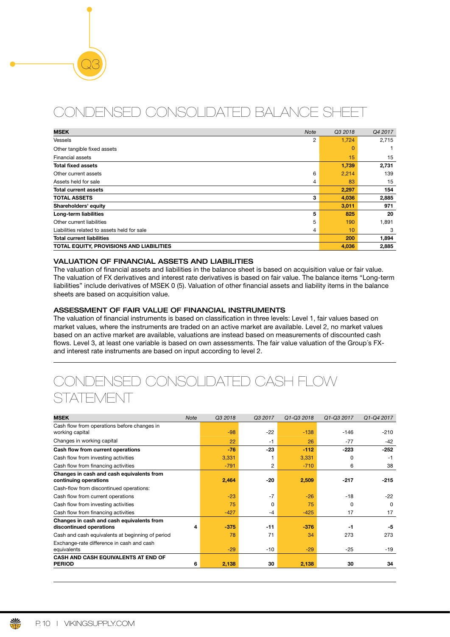# CONDENSED CONSOLIDATED BALANCE SHEET

| <b>MSEK</b>                                 | <b>Note</b> | Q3 2018  | Q4 2017 |
|---------------------------------------------|-------------|----------|---------|
| Vessels                                     | 2           | 1,724    | 2,715   |
| Other tangible fixed assets                 |             | $\Omega$ |         |
| <b>Financial assets</b>                     |             | 15       | 15      |
| <b>Total fixed assets</b>                   |             | 1,739    | 2,731   |
| Other current assets                        | 6           | 2,214    | 139     |
| Assets held for sale                        | 4           | 83       | 15      |
| <b>Total current assets</b>                 |             | 2,297    | 154     |
| <b>TOTAL ASSETS</b>                         | 3           | 4,036    | 2,885   |
| Shareholders' equity                        |             | 3,011    | 971     |
| Long-term liabilities                       | 5           | 825      | 20      |
| Other current liabilities                   | 5           | 190      | 1,891   |
| Liabilities related to assets held for sale | 4           | 10       | 3       |
| <b>Total current liabilities</b>            |             | 200      | 1,894   |
| TOTAL EQUITY, PROVISIONS AND LIABILITIES    |             | 4,036    | 2,885   |

# VALUATION OF FINANCIAL ASSETS AND LIABILITIES

Q3

The valuation of fnancial assets and liabilities in the balance sheet is based on acquisition value or fair value. The valuation of FX derivatives and interest rate derivatives is based on fair value. The balance items "Long-term liabilities" include derivatives of MSEK 0 (5). Valuation of other fnancial assets and liability items in the balance sheets are based on acquisition value.

# ASSESSMENT OF FAIR VALUE OF FINANCIAL INSTRUMENTS

The valuation of fnancial instruments is based on classifcation in three levels: Level 1, fair values based on market values, where the instruments are traded on an active market are available. Level 2, no market values based on an active market are available, valuations are instead based on measurements of discounted cash flows. Level 3, at least one variable is based on own assessments. The fair value valuation of the Group's FXand interest rate instruments are based on input according to level 2.

# CONDENSED CONSOLIDATED CASH FLOW **STATEMENT**

| <b>MSEK</b>                                                          | <b>Note</b> | Q3 2018 | Q3 2017      | Q1-Q3 2018 | Q1-Q3 2017 | Q1-Q4 2017 |
|----------------------------------------------------------------------|-------------|---------|--------------|------------|------------|------------|
| Cash flow from operations before changes in<br>working capital       |             | $-98$   | $-22$        | $-138$     | $-146$     | $-210$     |
| Changes in working capital                                           |             | 22      | $-1$         | 26         | $-77$      | $-42$      |
| Cash flow from current operations                                    |             | $-76$   | $-23$        | $-112$     | $-223$     | $-252$     |
| Cash flow from investing activities                                  |             | 3,331   |              | 3,331      | O          | $-1$       |
| Cash flow from financing activities                                  |             | $-791$  | 2            | $-710$     | 6          | 38         |
| Changes in cash and cash equivalents from<br>continuing operations   |             | 2,464   | -20          | 2,509      | $-217$     | $-215$     |
| Cash-flow from discontinued operations:                              |             |         |              |            |            |            |
| Cash flow from current operations                                    |             | $-23$   | $-7$         | $-26$      | $-18$      | $-22$      |
| Cash flow from investing activities                                  |             | 75      | <sup>0</sup> | 75         | 0          | $\Omega$   |
| Cash flow from financing activities                                  |             | $-427$  | $-4$         | $-425$     | 17         | 17         |
| Changes in cash and cash equivalents from<br>discontinued operations | 4           | $-375$  | $-11$        | $-376$     | -1         | -5         |
| Cash and cash equivalents at beginning of period                     |             | 78      | 71           | 34         | 273        | 273        |
| Exchange-rate difference in cash and cash<br>equivalents             |             | $-29$   | $-10$        | $-29$      | $-25$      | $-19$      |
| <b>CASH AND CASH EQUIVALENTS AT END OF</b><br><b>PERIOD</b>          | 6           | 2,138   | 30           | 2,138      | 30         | 34         |

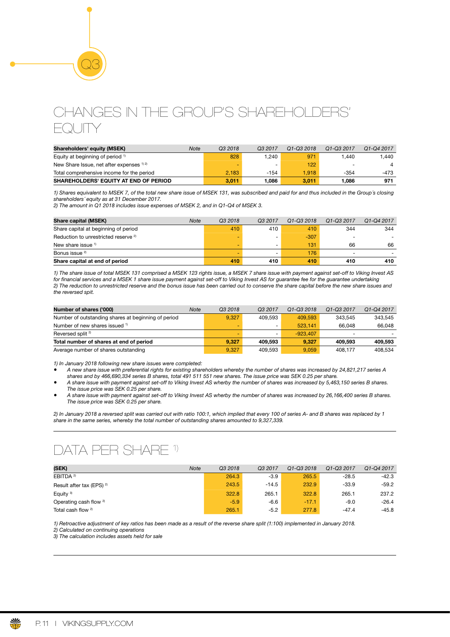# CHANGES IN THE GROUP'S SHAREHOLDERS' EQUITY

| Shareholders' equity (MSEK)                          | Note | Q3 2018 | Q3 2017 | Q1-Q3 2018 | Q1-Q3 2017               | Q1-Q4 2017 |
|------------------------------------------------------|------|---------|---------|------------|--------------------------|------------|
| Equity at beginning of period <sup>1)</sup>          |      | 828     | 1.240   | 971        | 1.440                    | 1.440      |
| New Share Issue, net after expenses <sup>1) 2)</sup> |      |         |         | 122        | $\overline{\phantom{0}}$ |            |
| Total comprehensive income for the period            |      | 2.183   | -154    | 1.918      | -354                     | -473       |
| <b>SHAREHOLDERS' EQUITY AT END OF PERIOD</b>         |      | 3,011   | 1.086   | 3.011      | 1.086                    | 971        |

*1) Shares equivalent to MSEK 7, of the total new share issue of MSEK 131, was subscribed and paid for and thus included in the Group´s closing shareholders´ equity as at 31 December 2017.*

*2) The amount in Q1 2018 includes issue expenses of MSEK 2, and in Q1-Q4 of MSEK 3.*

Q3

| Share capital (MSEK)                            | <b>Note</b> | Q <sub>3</sub> 2018 | Q <sub>3</sub> 2017      | Q1-Q3 2018 | Q1-Q3 2017               | Q1-Q4 2017 |
|-------------------------------------------------|-------------|---------------------|--------------------------|------------|--------------------------|------------|
| Share capital at beginning of period            |             | 410                 | 410                      | 410        | 344                      | 344        |
| Reduction to unrestricted reserve <sup>2)</sup> |             | -                   | -                        | $-307$     | $\overline{\phantom{0}}$ |            |
| New share issue $1$                             |             | -                   | $\overline{\phantom{0}}$ | 131        | 66                       | 66         |
| Bonus issue <sup>2)</sup>                       |             | -                   | $\overline{\phantom{0}}$ | 176        | $\overline{\phantom{a}}$ |            |
| Share capital at end of period                  |             | 410                 | 410                      | 410        | 410                      | 410        |

*1) The share issue of total MSEK 131 comprised a MSEK 123 rights issue, a MSEK 7 share issue with payment against set-off to Viking Invest AS for* f*nancial services and a MSEK 1 share issue payment against set-off to Viking Invest AS for guarantee fee for the guarantee undertaking 2) The reduction to unrestricted reserve and the bonus issue has been carried out to conserve the share capital before the new share issues and the reversed spit.*

| Number of shares ('000)                             | <b>Note</b> | Q3 2018 | Q <sub>3</sub> 2017      | Q1-Q3 2018 | Q1-Q3 2017               | Q1-Q4 2017 |
|-----------------------------------------------------|-------------|---------|--------------------------|------------|--------------------------|------------|
| Number of outstanding shares at beginning of period |             | 9.327   | 409.593                  | 409.593    | 343.545                  | 343.545    |
| Number of new shares issued <sup>1)</sup>           |             | -       | $\overline{\phantom{0}}$ | 523.141    | 66.048                   | 66.048     |
| Reversed split <sup>2)</sup>                        |             | -       | $\overline{\phantom{0}}$ | $-923.407$ | $\overline{\phantom{0}}$ |            |
| Total number of shares at end of period             |             | 9.327   | 409.593                  | 9.327      | 409.593                  | 409.593    |
| Average number of shares outstanding                |             | 9.327   | 409.593                  | 9.059      | 408.177                  | 408.534    |

*1) In January 2018 following new share issues were completed:*

- *A new share issue with preferential rights for existing shareholders whereby the number of shares was increased by 24,821,217 series A shares and by 466,690,334 series B shares, total 491 511 551 new shares. The issue price was SEK 0.25 per share.*
- *A share issue with payment against set-off to Viking Invest AS wherby the number of shares was increased by 5,463,150 series B shares. The issue price was SEK 0.25 per share.*
- *A share issue with payment against set-off to Viking Invest AS wherby the number of shares was increased by 26,166,400 series B shares. The issue price was SEK 0.25 per share.*

*2) In January 2018 a reversed split was carried out with ratio 100:1, which implied that every 100 of series A- and B shares was replaced by 1 share in the same series, whereby the total number of outstanding shares amounted to 9,327,339.* 

# DATA PER SHARE 1)

| (SEK)                                | <b>Note</b> | Q3 2018 | Q3 2017 | Q1-Q3 2018 | Q1-Q3 2017 | Q <sub>1</sub> -Q <sub>4</sub> 2017 |
|--------------------------------------|-------------|---------|---------|------------|------------|-------------------------------------|
| EBITDA <sup>2)</sup>                 |             | 264.3   | $-3.9$  | 265.5      | $-28.5$    | $-42.3$                             |
| Result after tax (EPS) <sup>2)</sup> |             | 243.5   | $-14.5$ | 232.9      | $-33.9$    | $-59.2$                             |
| Equity $3$                           |             | 322.8   | 265.1   | 322.8      | 265.1      | 237.2                               |
| Operating cash flow <sup>2)</sup>    |             | $-5.9$  | $-6.6$  | $-17.1$    | $-9.0$     | $-26.4$                             |
| Total cash flow <sup>2)</sup>        |             | 265.1   | $-5.2$  | 277.8      | $-47.4$    | $-45.8$                             |

*1) Retroactive adjustment of key ratios has been made as a result of the reverse share split (1:100) implemented in January 2018.*

*2) Calculated on continuing operations*

*3) The calculation includes assets held for sale*

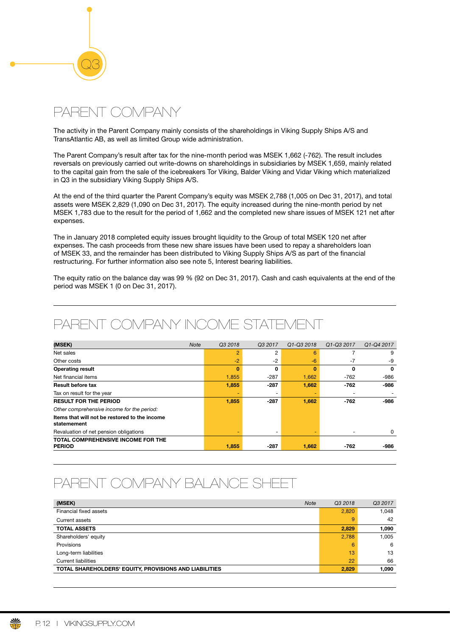# PARENT COMPANY

Q3

The activity in the Parent Company mainly consists of the shareholdings in Viking Supply Ships A/S and TransAtlantic AB, as well as limited Group wide administration.

The Parent Company's result after tax for the nine-month period was MSEK 1,662 (-762). The result includes reversals on previously carried out write-downs on shareholdings in subsidiaries by MSEK 1,659, mainly related to the capital gain from the sale of the icebreakers Tor Viking, Balder Viking and Vidar Viking which materialized in Q3 in the subsidiary Viking Supply Ships A/S.

At the end of the third quarter the Parent Company's equity was MSEK 2,788 (1,005 on Dec 31, 2017), and total assets were MSEK 2,829 (1,090 on Dec 31, 2017). The equity increased during the nine-month period by net MSEK 1,783 due to the result for the period of 1,662 and the completed new share issues of MSEK 121 net after expenses.

The in January 2018 completed equity issues brought liquidity to the Group of total MSEK 120 net after expenses. The cash proceeds from these new share issues have been used to repay a shareholders loan of MSEK 33, and the remainder has been distributed to Viking Supply Ships A/S as part of the fnancial restructuring. For further information also see note 5, Interest bearing liabilities.

The equity ratio on the balance day was 99 % (92 on Dec 31, 2017). Cash and cash equivalents at the end of the period was MSEK 1 (0 on Dec 31, 2017).

# PARENT COMPANY INCOME STATEMENT

| (MSEK)                                                       | <b>Note</b><br>Q3 2018 | Q3 2017                  | Q1-Q3 2018 | Q1-Q3 2017 | Q1-Q4 2017 |
|--------------------------------------------------------------|------------------------|--------------------------|------------|------------|------------|
| Net sales                                                    | $\overline{2}$         | 2                        | 6          |            | 9          |
| Other costs                                                  | $-2$                   | $-2$                     | $-6$       | $-7$       | -9         |
| <b>Operating result</b>                                      | $\bf{0}$               | 0                        | 0          | 0          | 0          |
| Net financial items                                          | 1,855                  | $-287$                   | 1,662      | $-762$     | $-986$     |
| <b>Result before tax</b>                                     | 1,855                  | $-287$                   | 1,662      | $-762$     | -986       |
| Tax on result for the year                                   |                        | $\overline{\phantom{a}}$ |            |            |            |
| <b>RESULT FOR THE PERIOD</b>                                 | 1,855                  | $-287$                   | 1,662      | $-762$     | -986       |
| Other comprehensive income for the period:                   |                        |                          |            |            |            |
| Items that will not be restored to the income<br>statemement |                        |                          |            |            |            |
| Revaluation of net pension obligations                       | ۰                      | $\overline{\phantom{a}}$ |            |            | 0          |
| TOTAL COMPREHENSIVE INCOME FOR THE                           |                        |                          |            |            |            |
| <b>PERIOD</b>                                                | 1,855                  | $-287$                   | 1,662      | -762       | -986       |

# PARENT COMPANY BALANCE SHEET

| (MSEK)<br><b>Note</b>                                  | Q3 2018 | Q3 2017 |
|--------------------------------------------------------|---------|---------|
| Financial fixed assets                                 | 2,820   | 1.048   |
| Current assets                                         | 9       | 42      |
| <b>TOTAL ASSETS</b>                                    | 2,829   | 1,090   |
| Shareholders' equity                                   | 2,788   | 1.005   |
| Provisions                                             | 6       | 6       |
| Long-term liabilities                                  | 13      | 13      |
| <b>Current liabilities</b>                             | 22      | 66      |
| TOTAL SHAREHOLDERS' EQUITY, PROVISIONS AND LIABILITIES | 2,829   | 1,090   |

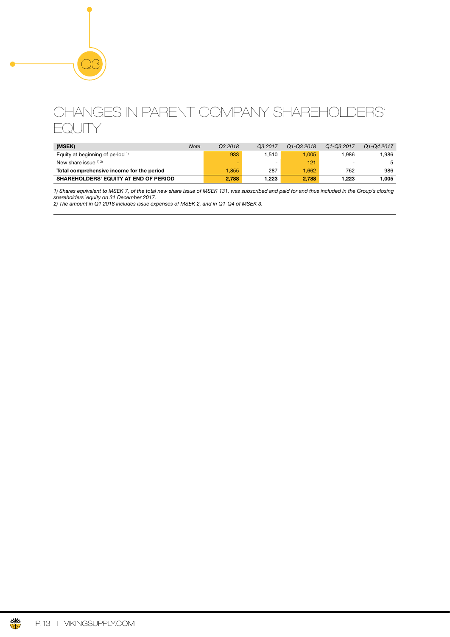# CHANGES IN PARENT COMPANY SHAREHOLDERS' **EQUITY**

| (MSEK)                                       | Note | Q3 2018 | Q3 2017 | Q1-Q3 2018 | Q1-Q3 2017               | Q1-Q4 2017 |
|----------------------------------------------|------|---------|---------|------------|--------------------------|------------|
| Equity at beginning of period <sup>1)</sup>  |      | 933     | .510    | 1.005      | .986                     | 1.986      |
| New share issue $12$                         |      | ۰       | -       | 121        | $\overline{\phantom{0}}$ |            |
| Total comprehensive income for the period    |      | 1.855   | -287    | .662       | -762                     | -986       |
| <b>SHAREHOLDERS' EQUITY AT END OF PERIOD</b> |      | 2.788   | 1.223   | 2.788      | 1.223                    | 1.005      |

*1) Shares equivalent to MSEK 7, of the total new share issue of MSEK 131, was subscribed and paid for and thus included in the Group´s closing shareholders´ equity on 31 December 2017.*

*2) The amount in Q1 2018 includes issue expenses of MSEK 2, and in Q1-Q4 of MSEK 3.*

Q3

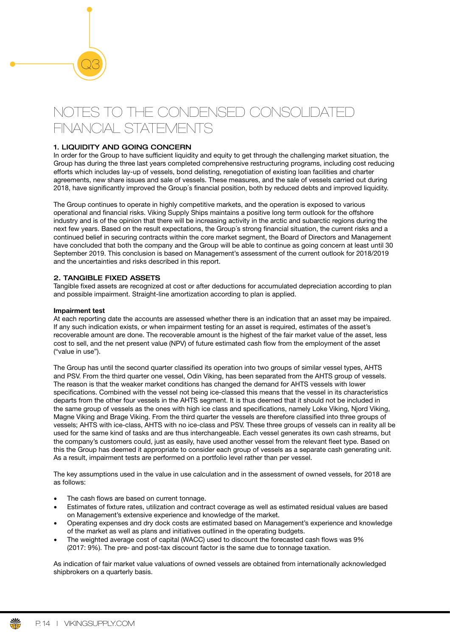# NOTES TO THE CONDENSED CONSOLIDATED FINANCIAL STATEMENTS

# 1. LIQUIDITY AND GOING CONCERN

Q3

In order for the Group to have sufficient liquidity and equity to get through the challenging market situation, the Group has during the three last years completed comprehensive restructuring programs, including cost reducing efforts which includes lay-up of vessels, bond delisting, renegotiation of existing loan facilities and charter agreements, new share issues and sale of vessels. These measures, and the sale of vessels carried out during 2018, have signifcantly improved the Group´s fnancial position, both by reduced debts and improved liquidity.

The Group continues to operate in highly competitive markets, and the operation is exposed to various operational and fnancial risks. Viking Supply Ships maintains a positive long term outlook for the offshore industry and is of the opinion that there will be increasing activity in the arctic and subarctic regions during the next few years. Based on the result expectations, the Group´s strong fnancial situation, the current risks and a continued belief in securing contracts within the core market segment, the Board of Directors and Management have concluded that both the company and the Group will be able to continue as going concern at least until 30 September 2019. This conclusion is based on Management's assessment of the current outlook for 2018/2019 and the uncertainties and risks described in this report.

# 2. TANGIBLE FIXED ASSETS

Tangible fxed assets are recognized at cost or after deductions for accumulated depreciation according to plan and possible impairment. Straight-line amortization according to plan is applied.

### Impairment test

At each reporting date the accounts are assessed whether there is an indication that an asset may be impaired. If any such indication exists, or when impairment testing for an asset is required, estimates of the asset's recoverable amount are done. The recoverable amount is the highest of the fair market value of the asset, less cost to sell, and the net present value (NPV) of future estimated cash fow from the employment of the asset ("value in use").

The Group has until the second quarter classifed its operation into two groups of similar vessel types, AHTS and PSV. From the third quarter one vessel, Odin Viking, has been separated from the AHTS group of vessels. The reason is that the weaker market conditions has changed the demand for AHTS vessels with lower specifications. Combined with the vessel not being ice-classed this means that the vessel in its characteristics departs from the other four vessels in the AHTS segment. It is thus deemed that it should not be included in the same group of vessels as the ones with high ice class and specifcations, namely Loke Viking, Njord Viking, Magne Viking and Brage Viking. From the third quarter the vessels are therefore classifed into three groups of vessels; AHTS with ice-class, AHTS with no ice-class and PSV. These three groups of vessels can in reality all be used for the same kind of tasks and are thus interchangeable. Each vessel generates its own cash streams, but the company's customers could, just as easily, have used another vessel from the relevant feet type. Based on this the Group has deemed it appropriate to consider each group of vessels as a separate cash generating unit. As a result, impairment tests are performed on a portfolio level rather than per vessel.

The key assumptions used in the value in use calculation and in the assessment of owned vessels, for 2018 are as follows:

- The cash flows are based on current tonnage.
- Estimates of fxture rates, utilization and contract coverage as well as estimated residual values are based on Management's extensive experience and knowledge of the market.
- Operating expenses and dry dock costs are estimated based on Management's experience and knowledge of the market as well as plans and initiatives outlined in the operating budgets.
- The weighted average cost of capital (WACC) used to discount the forecasted cash flows was 9% (2017: 9%). The pre- and post-tax discount factor is the same due to tonnage taxation.

As indication of fair market value valuations of owned vessels are obtained from internationally acknowledged shipbrokers on a quarterly basis.

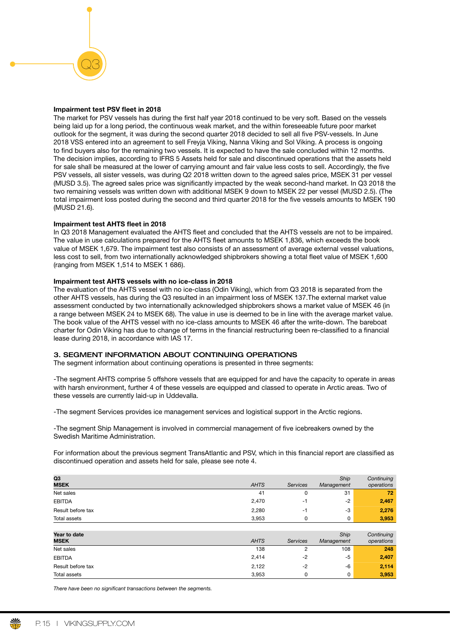# Impairment test PSV feet in 2018

Q3

The market for PSV vessels has during the first half year 2018 continued to be very soft. Based on the vessels being laid up for a long period, the continuous weak market, and the within foreseeable future poor market outlook for the segment, it was during the second quarter 2018 decided to sell all fve PSV-vessels. In June 2018 VSS entered into an agreement to sell Freyja Viking, Nanna Viking and Sol Viking. A process is ongoing to fnd buyers also for the remaining two vessels. It is expected to have the sale concluded within 12 months. The decision implies, according to IFRS 5 Assets held for sale and discontinued operations that the assets held for sale shall be measured at the lower of carrying amount and fair value less costs to sell. Accordingly, the five PSV vessels, all sister vessels, was during Q2 2018 written down to the agreed sales price, MSEK 31 per vessel (MUSD 3.5). The agreed sales price was signifcantly impacted by the weak second-hand market. In Q3 2018 the two remaining vessels was written down with additional MSEK 9 down to MSEK 22 per vessel (MUSD 2.5). (The total impairment loss posted during the second and third quarter 2018 for the five vessels amounts to MSEK 190 (MUSD 21.6).

### Impairment test AHTS fleet in 2018

In Q3 2018 Management evaluated the AHTS fleet and concluded that the AHTS vessels are not to be impaired. The value in use calculations prepared for the AHTS feet amounts to MSEK 1,836, which exceeds the book value of MSEK 1,679. The impairment test also consists of an assessment of average external vessel valuations, less cost to sell, from two internationally acknowledged shipbrokers showing a total feet value of MSEK 1,600 (ranging from MSEK 1,514 to MSEK 1 686).

### Impairment test AHTS vessels with no ice-class in 2018

The evaluation of the AHTS vessel with no ice-class (Odin Viking), which from Q3 2018 is separated from the other AHTS vessels, has during the Q3 resulted in an impairment loss of MSEK 137.The external market value assessment conducted by two internationally acknowledged shipbrokers shows a market value of MSEK 46 (in a range between MSEK 24 to MSEK 68). The value in use is deemed to be in line with the average market value. The book value of the AHTS vessel with no ice-class amounts to MSEK 46 after the write-down. The bareboat charter for Odin Viking has due to change of terms in the fnancial restructuring been re-classifed to a fnancial lease during 2018, in accordance with IAS 17.

# 3. SEGMENT INFORMATION ABOUT CONTINUING OPERATIONS

The segment information about continuing operations is presented in three segments:

-The segment AHTS comprise 5 offshore vessels that are equipped for and have the capacity to operate in areas with harsh environment, further 4 of these vessels are equipped and classed to operate in Arctic areas. Two of these vessels are currently laid-up in Uddevalla.

-The segment Services provides ice management services and logistical support in the Arctic regions.

-The segment Ship Management is involved in commercial management of fve icebreakers owned by the Swedish Maritime Administration.

For information about the previous segment TransAtlantic and PSV, which in this financial report are classified as discontinued operation and assets held for sale, please see note 4.

| Q3<br><b>MSEK</b> | <b>AHTS</b> | <b>Services</b> | Ship<br>Management | Continuing<br>operations |
|-------------------|-------------|-----------------|--------------------|--------------------------|
| Net sales         | 41          |                 | 31                 | 72                       |
| <b>EBITDA</b>     | 2,470       | ٠I              | $-2$               | 2,467                    |
| Result before tax | 2,280       | -1              | $-3$               | 2,276                    |
| Total assets      | 3.953       |                 | 0                  | 3,953                    |
|                   |             |                 |                    |                          |

| Year to date<br><b>MSEK</b> | <b>AHTS</b> | Services | Ship<br>Management | Continuing<br>operations |
|-----------------------------|-------------|----------|--------------------|--------------------------|
| Net sales                   | 138         |          | 108                | 248                      |
| <b>EBITDA</b>               | 2,414       | -2       | -5                 | 2,407                    |
| Result before tax           | 2,122       | $-2$     | -6                 | 2,114                    |
| Total assets                | 3.953       |          | 0                  | 3,953                    |

*There have been no signi*f*cant transactions between the segments.*

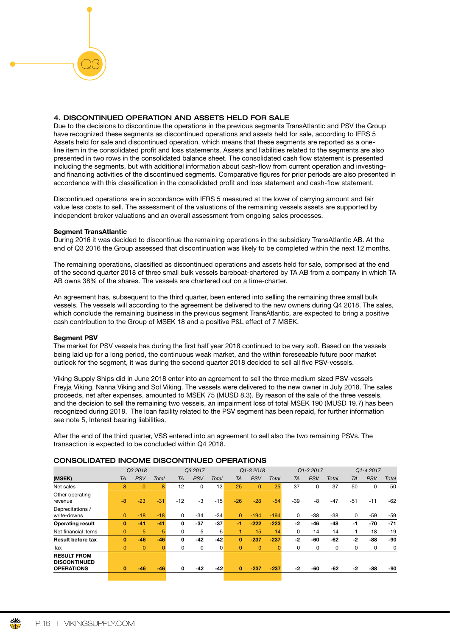Due to the decisions to discontinue the operations in the previous segments TransAtlantic and PSV the Group have recognized these segments as discontinued operations and assets held for sale, according to IFRS 5 Assets held for sale and discontinued operation, which means that these segments are reported as a oneline item in the consolidated proft and loss statements. Assets and liabilities related to the segments are also presented in two rows in the consolidated balance sheet. The consolidated cash fow statement is presented including the segments, but with additional information about cash-fow from current operation and investingand financing activities of the discontinued segments. Comparative figures for prior periods are also presented in accordance with this classifcation in the consolidated proft and loss statement and cash-fow statement.

Discontinued operations are in accordance with IFRS 5 measured at the lower of carrying amount and fair value less costs to sell. The assessment of the valuations of the remaining vessels assets are supported by independent broker valuations and an overall assessment from ongoing sales processes.

#### Segment TransAtlantic

Q3

During 2016 it was decided to discontinue the remaining operations in the subsidiary TransAtlantic AB. At the end of Q3 2016 the Group assessed that discontinuation was likely to be completed within the next 12 months.

The remaining operations, classifed as discontinued operations and assets held for sale, comprised at the end of the second quarter 2018 of three small bulk vessels bareboat-chartered by TA AB from a company in which TA AB owns 38% of the shares. The vessels are chartered out on a time-charter.

An agreement has, subsequent to the third quarter, been entered into selling the remaining three small bulk vessels. The vessels will according to the agreement be delivered to the new owners during Q4 2018. The sales, which conclude the remaining business in the previous segment TransAtlantic, are expected to bring a positive cash contribution to the Group of MSEK 18 and a positive P&L effect of 7 MSEK.

#### Seament PSV

The market for PSV vessels has during the first half year 2018 continued to be very soft. Based on the vessels being laid up for a long period, the continuous weak market, and the within foreseeable future poor market outlook for the segment, it was during the second quarter 2018 decided to sell all five PSV-vessels.

Viking Supply Ships did in June 2018 enter into an agreement to sell the three medium sized PSV-vessels Freyja Viking, Nanna Viking and Sol Viking. The vessels were delivered to the new owner in July 2018. The sales proceeds, net after expenses, amounted to MSEK 75 (MUSD 8.3). By reason of the sale of the three vessels, and the decision to sell the remaining two vessels, an impairment loss of total MSEK 190 (MUSD 19.7) has been recognized during 2018. The loan facility related to the PSV segment has been repaid, for further information see note 5, Interest bearing liabilities.

After the end of the third quarter, VSS entered into an agreement to sell also the two remaining PSVs. The transaction is expected to be concluded within Q4 2018.

## CONSOLIDATED INCOME DISCONTINUED OPERATIONS

|                                                                |                | Q3 2018        |              |           | Q3 2017    |       |          | Q1-3 2018  |        |           | Q1-3 2017  |              |           | Q1-4 2017  |       |
|----------------------------------------------------------------|----------------|----------------|--------------|-----------|------------|-------|----------|------------|--------|-----------|------------|--------------|-----------|------------|-------|
| (MSEK)                                                         | <b>TA</b>      | <b>PSV</b>     | <b>Total</b> | <b>TA</b> | <b>PSV</b> | Total | TA       | <b>PSV</b> | Total  | <b>TA</b> | <b>PSV</b> | <b>Total</b> | <b>TA</b> | <b>PSV</b> | Total |
| Net sales                                                      | 8              | $\mathbf{0}$   | 8            | 12        | 0          | 12    | 25       | $\Omega$   | 25     | 37        | $\Omega$   | 37           | 50        | 0          | 50    |
| Other operating<br>revenue                                     | $-8$           | $-23$          | $-31$        | $-12$     | $-3$       | $-15$ | $-26$    | $-28$      | $-54$  | -39       | -8         | $-47$        | $-51$     | $-11$      | -62   |
| Deprecitations /<br>write-downs                                | $\overline{0}$ | $-18$          | $-18$        | 0         | $-34$      | $-34$ | $\Omega$ | $-194$     | $-194$ | 0         | -38        | $-38$        | 0         | -59        | $-59$ |
| <b>Operating result</b>                                        | 0              | $-41$          | $-41$        | 0         | $-37$      | $-37$ | -1       | $-222$     | $-223$ | -2        | -46        | $-48$        | -1        | $-70$      | $-71$ |
| Net financial items                                            | $\Omega$       | $-5$           | $-5$         | 0         | $-5$       | -5    |          | $-15$      | $-14$  | 0         | $-14$      | $-14$        | -1        | $-18$      | $-19$ |
| <b>Result before tax</b>                                       | $\bf{0}$       | $-46$          | $-46$        | 0         | -42        | $-42$ | $\bf{0}$ | $-237$     | $-237$ | -2        | -60        | -62          | -2        | -88        | -90   |
| Tax                                                            | $\Omega$       | $\overline{0}$ |              | 0         | 0          | 0     | $\Omega$ | $\Omega$   |        | 0         | 0          | 0            | 0         | 0          | 0     |
| <b>RESULT FROM</b><br><b>DISCONTINUED</b><br><b>OPERATIONS</b> |                | $-46$          |              |           | $-42$      |       | $\bf{0}$ | $-237$     | $-237$ | -2        | -60        |              | $-2$      |            |       |
|                                                                | $\bf{0}$       |                | $-46$        | 0         |            | $-42$ |          |            |        |           |            | -62          |           | -88        | -90   |

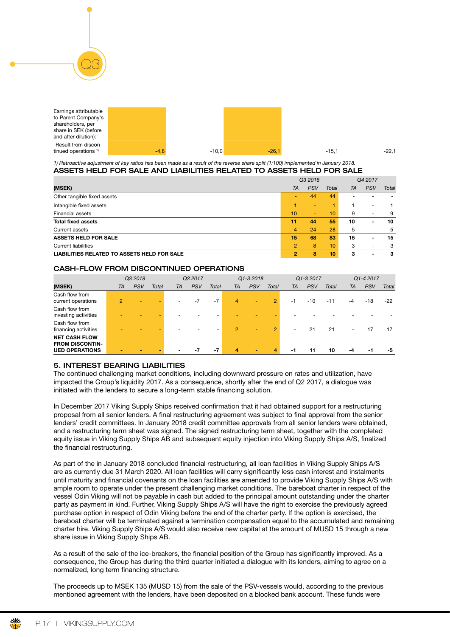| Earnings attributable |        |         |         |         |         |
|-----------------------|--------|---------|---------|---------|---------|
| to Parent Company's   |        |         |         |         |         |
| shareholders, per     |        |         |         |         |         |
| share in SEK (before  |        |         |         |         |         |
| and after dilution):  |        |         |         |         |         |
| -Result from discon-  |        |         |         |         |         |
| tinued operations $1$ | $-4.8$ | $-10,0$ | $-26.7$ | $-15.1$ | $-22.1$ |

#### *1) Retroactive adjustment of key ratios has been made as a result of the reverse share split (1:100) implemented in January 2018.* ASSETS HELD FOR SALE AND LIABILITIES RELATED TO ASSETS HELD FOR SALE

|                                             | Q3 2018        |            |                 |    | Q4 2017                  |              |  |
|---------------------------------------------|----------------|------------|-----------------|----|--------------------------|--------------|--|
| (MSEK)                                      | <b>TA</b>      | <b>PSV</b> | Total           | TA | <b>PSV</b>               | <b>Total</b> |  |
| Other tangible fixed assets                 |                | 44         | 44              |    |                          |              |  |
| Intangible fixed assets                     |                | ۰          |                 |    | $\overline{a}$           |              |  |
| <b>Financial assets</b>                     | 10             | ۰          | 10              | 9  | $\overline{\phantom{a}}$ | 9            |  |
| <b>Total fixed assets</b>                   | 11             | 44         | 55              | 10 | $\blacksquare$           | 10           |  |
| Current assets                              | 4              | 24         | 28              | 5  | $\overline{\phantom{a}}$ | 5            |  |
| <b>ASSETS HELD FOR SALE</b>                 | 15             | 68         | 83              | 15 | $\blacksquare$           | 15           |  |
| <b>Current liabilities</b>                  | $\overline{2}$ | 8          | 10 <sup>1</sup> | 3  | ٠                        | 3            |  |
| LIABILITIES RELATED TO ASSETS HELD FOR SALE | 2              | 8          | 10              | з  | $\blacksquare$           | з            |  |

# CASH-FLOW FROM DISCONTINUED OPERATIONS

|                                                                         |                | Q3 2018    |       |                          | Q3 2017    |       |                | Q1-3 2018  |                |                | Q1-3 2017 |              |    | Q1-4 2017  |       |
|-------------------------------------------------------------------------|----------------|------------|-------|--------------------------|------------|-------|----------------|------------|----------------|----------------|-----------|--------------|----|------------|-------|
| (MSEK)                                                                  | TA             | <b>PSV</b> | Total | TA                       | <b>PSV</b> | Total | <b>TA</b>      | <b>PSV</b> | <b>Total</b>   | TA             | PSV       | <b>Total</b> | TA | <b>PSV</b> | Total |
| Cash flow from<br>current operations                                    | $\overline{2}$ |            |       | ٠                        | $-7$       | $-7$  | 4              | ٠          | $\overline{2}$ | $-1$           | $-10$     | $-11$        | -4 | $-18$      | $-22$ |
| Cash flow from<br>investing activities                                  |                |            |       |                          |            |       |                |            |                |                |           |              |    |            |       |
| Cash flow from<br>financing activities                                  |                |            |       | $\overline{\phantom{0}}$ |            |       | $\overline{2}$ | ٠          | $\overline{2}$ | $\overline{a}$ | 21        | 21           | ٠  | 17         | 17    |
| <b>NET CASH FLOW</b><br><b>FROM DISCONTIN-</b><br><b>UED OPERATIONS</b> |                |            |       |                          |            | $-7$  | 4              | $\sim$     | 4              | -1             | 11        | 10           | -4 | -1         | -5    |

# 5. INTEREST BEARING LIABILITIES

Q3

The continued challenging market conditions, including downward pressure on rates and utilization, have impacted the Group's liquidity 2017. As a consequence, shortly after the end of Q2 2017, a dialogue was initiated with the lenders to secure a long-term stable financing solution.

In December 2017 Viking Supply Ships received confrmation that it had obtained support for a restructuring proposal from all senior lenders. A fnal restructuring agreement was subject to fnal approval from the senior lenders' credit committees. In January 2018 credit committee approvals from all senior lenders were obtained, and a restructuring term sheet was signed. The signed restructuring term sheet, together with the completed equity issue in Viking Supply Ships AB and subsequent equity injection into Viking Supply Ships A/S, fnalized the financial restructuring.

As part of the in January 2018 concluded fnancial restructuring, all loan facilities in Viking Supply Ships A/S are as currently due 31 March 2020. All loan facilities will carry signifcantly less cash interest and instalments until maturity and fnancial covenants on the loan facilities are amended to provide Viking Supply Ships A/S with ample room to operate under the present challenging market conditions. The bareboat charter in respect of the vessel Odin Viking will not be payable in cash but added to the principal amount outstanding under the charter party as payment in kind. Further, Viking Supply Ships A/S will have the right to exercise the previously agreed purchase option in respect of Odin Viking before the end of the charter party. If the option is exercised, the bareboat charter will be terminated against a termination compensation equal to the accumulated and remaining charter hire. Viking Supply Ships A/S would also receive new capital at the amount of MUSD 15 through a new share issue in Viking Supply Ships AB.

As a result of the sale of the ice-breakers, the financial position of the Group has significantly improved. As a consequence, the Group has during the third quarter initiated a dialogue with its lenders, aiming to agree on a normalized, long term financing structure.

The proceeds up to MSEK 135 (MUSD 15) from the sale of the PSV-vessels would, according to the previous mentioned agreement with the lenders, have been deposited on a blocked bank account. These funds were

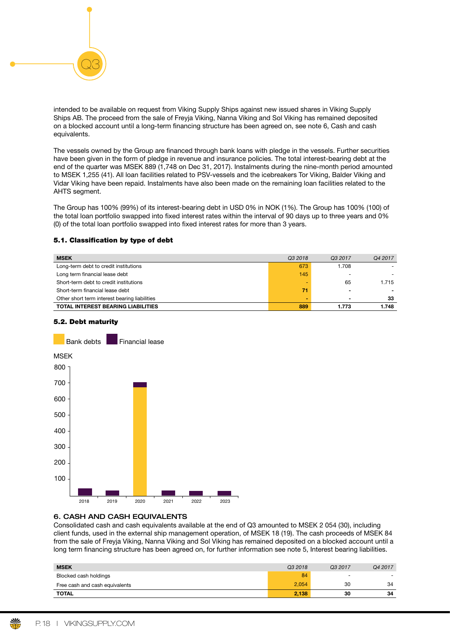

intended to be available on request from Viking Supply Ships against new issued shares in Viking Supply Ships AB. The proceed from the sale of Freyja Viking, Nanna Viking and Sol Viking has remained deposited on a blocked account until a long-term fnancing structure has been agreed on, see note 6, Cash and cash equivalents.

The vessels owned by the Group are fnanced through bank loans with pledge in the vessels. Further securities have been given in the form of pledge in revenue and insurance policies. The total interest-bearing debt at the end of the quarter was MSEK 889 (1,748 on Dec 31, 2017). Instalments during the nine-month period amounted to MSEK 1,255 (41). All loan facilities related to PSV-vessels and the icebreakers Tor Viking, Balder Viking and Vidar Viking have been repaid. Instalments have also been made on the remaining loan facilities related to the AHTS segment.

The Group has 100% (99%) of its interest-bearing debt in USD 0% in NOK (1%). The Group has 100% (100) of the total loan portfolio swapped into fixed interest rates within the interval of 90 days up to three years and 0% (0) of the total loan portfolio swapped into fxed interest rates for more than 3 years.

# 5.1. Classifcation by type of debt

| <b>MSEK</b>                                   | Q3 2018 | Q <sub>3</sub> 2017 | Q4 2017 |
|-----------------------------------------------|---------|---------------------|---------|
| Long-term debt to credit institutions         | 673     | 1.708               |         |
| Long term financial lease debt                | 145     | -                   |         |
| Short-term debt to credit institutions        |         | 65                  | 1.715   |
| Short-term financial lease debt               | 71      |                     |         |
| Other short term interest bearing liabilities |         | $\blacksquare$      | 33      |
| <b>TOTAL INTEREST BEARING LIABILITIES</b>     | 889     | 1.773               | 1.748   |

# 5.2. Debt maturity



# 6. CASH AND CASH EQUIVALENTS

Consolidated cash and cash equivalents available at the end of Q3 amounted to MSEK 2 054 (30), including client funds, used in the external ship management operation, of MSEK 18 (19). The cash proceeds of MSEK 84 from the sale of Freyja Viking, Nanna Viking and Sol Viking has remained deposited on a blocked account until a long term financing structure has been agreed on, for further information see note 5, Interest bearing liabilities.

| <b>MSEK</b>                    | Q3 2018 | Q3 2017                  | Q4 2017        |
|--------------------------------|---------|--------------------------|----------------|
| Blocked cash holdings          | 84      | $\overline{\phantom{0}}$ | $\overline{a}$ |
| Free cash and cash equivalents | 2,054   | 30                       | 34             |
| <b>TOTAL</b>                   | 2,138   | 30                       | 34             |

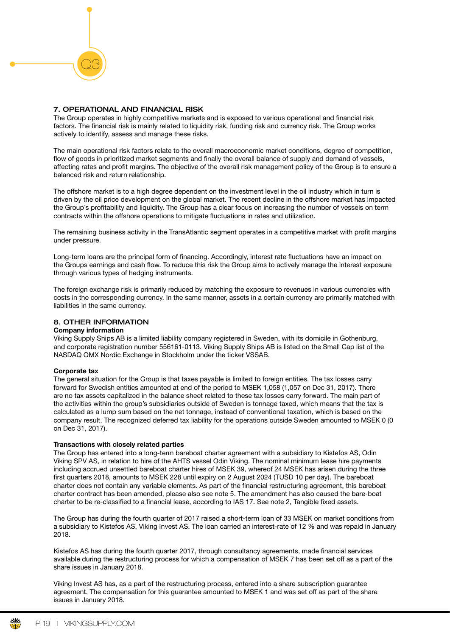# 7. OPERATIONAL AND FINANCIAL RISK

Q3

The Group operates in highly competitive markets and is exposed to various operational and fnancial risk factors. The financial risk is mainly related to liquidity risk, funding risk and currency risk. The Group works actively to identify, assess and manage these risks.

The main operational risk factors relate to the overall macroeconomic market conditions, degree of competition, flow of goods in prioritized market segments and finally the overall balance of supply and demand of vessels, affecting rates and proft margins. The objective of the overall risk management policy of the Group is to ensure a balanced risk and return relationship.

The offshore market is to a high degree dependent on the investment level in the oil industry which in turn is driven by the oil price development on the global market. The recent decline in the offshore market has impacted the Group´s proftability and liquidity. The Group has a clear focus on increasing the number of vessels on term contracts within the offshore operations to mitigate fuctuations in rates and utilization.

The remaining business activity in the TransAtlantic segment operates in a competitive market with proft margins under pressure.

Long-term loans are the principal form of financing. Accordingly, interest rate fluctuations have an impact on the Groups earnings and cash flow. To reduce this risk the Group aims to actively manage the interest exposure through various types of hedging instruments.

The foreign exchange risk is primarily reduced by matching the exposure to revenues in various currencies with costs in the corresponding currency. In the same manner, assets in a certain currency are primarily matched with liabilities in the same currency.

# 8. OTHER INFORMATION

### Company information

Viking Supply Ships AB is a limited liability company registered in Sweden, with its domicile in Gothenburg, and corporate registration number 556161-0113. Viking Supply Ships AB is listed on the Small Cap list of the NASDAQ OMX Nordic Exchange in Stockholm under the ticker VSSAB.

### Corporate tax

The general situation for the Group is that taxes payable is limited to foreign entities. The tax losses carry forward for Swedish entities amounted at end of the period to MSEK 1,058 (1,057 on Dec 31, 2017). There are no tax assets capitalized in the balance sheet related to these tax losses carry forward. The main part of the activities within the group's subsidiaries outside of Sweden is tonnage taxed, which means that the tax is calculated as a lump sum based on the net tonnage, instead of conventional taxation, which is based on the company result. The recognized deferred tax liability for the operations outside Sweden amounted to MSEK 0 (0 on Dec 31, 2017).

### Transactions with closely related parties

The Group has entered into a long-term bareboat charter agreement with a subsidiary to Kistefos AS, Odin Viking SPV AS, in relation to hire of the AHTS vessel Odin Viking. The nominal minimum lease hire payments including accrued unsettled bareboat charter hires of MSEK 39, whereof 24 MSEK has arisen during the three frst quarters 2018, amounts to MSEK 228 until expiry on 2 August 2024 (TUSD 10 per day). The bareboat charter does not contain any variable elements. As part of the fnancial restructuring agreement, this bareboat charter contract has been amended, please also see note 5. The amendment has also caused the bare-boat charter to be re-classifed to a fnancial lease, according to IAS 17. See note 2, Tangible fxed assets.

The Group has during the fourth quarter of 2017 raised a short-term loan of 33 MSEK on market conditions from a subsidiary to Kistefos AS, Viking Invest AS. The loan carried an interest-rate of 12 % and was repaid in January 2018.

Kistefos AS has during the fourth quarter 2017, through consultancy agreements, made financial services available during the restructuring process for which a compensation of MSEK 7 has been set off as a part of the share issues in January 2018.

Viking Invest AS has, as a part of the restructuring process, entered into a share subscription guarantee agreement. The compensation for this guarantee amounted to MSEK 1 and was set off as part of the share issues in January 2018.

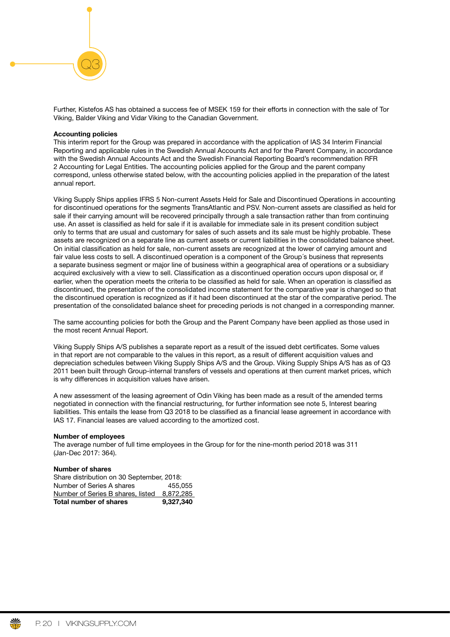Further, Kistefos AS has obtained a success fee of MSEK 159 for their efforts in connection with the sale of Tor Viking, Balder Viking and Vidar Viking to the Canadian Government.

#### Accounting policies

Q3

This interim report for the Group was prepared in accordance with the application of IAS 34 Interim Financial Reporting and applicable rules in the Swedish Annual Accounts Act and for the Parent Company, in accordance with the Swedish Annual Accounts Act and the Swedish Financial Reporting Board's recommendation RFR 2 Accounting for Legal Entities. The accounting policies applied for the Group and the parent company correspond, unless otherwise stated below, with the accounting policies applied in the preparation of the latest annual report.

Viking Supply Ships applies IFRS 5 Non-current Assets Held for Sale and Discontinued Operations in accounting for discontinued operations for the segments TransAtlantic and PSV. Non-current assets are classifed as held for sale if their carrying amount will be recovered principally through a sale transaction rather than from continuing use. An asset is classifed as held for sale if it is available for immediate sale in its present condition subject only to terms that are usual and customary for sales of such assets and its sale must be highly probable. These assets are recognized on a separate line as current assets or current liabilities in the consolidated balance sheet. On initial classifcation as held for sale, non-current assets are recognized at the lower of carrying amount and fair value less costs to sell. A discontinued operation is a component of the Group´s business that represents a separate business segment or major line of business within a geographical area of operations or a subsidiary acquired exclusively with a view to sell. Classifcation as a discontinued operation occurs upon disposal or, if earlier, when the operation meets the criteria to be classifed as held for sale. When an operation is classifed as discontinued, the presentation of the consolidated income statement for the comparative year is changed so that the discontinued operation is recognized as if it had been discontinued at the star of the comparative period. The presentation of the consolidated balance sheet for preceding periods is not changed in a corresponding manner.

The same accounting policies for both the Group and the Parent Company have been applied as those used in the most recent Annual Report.

Viking Supply Ships A/S publishes a separate report as a result of the issued debt certifcates. Some values in that report are not comparable to the values in this report, as a result of different acquisition values and depreciation schedules between Viking Supply Ships A/S and the Group. Viking Supply Ships A/S has as of Q3 2011 been built through Group-internal transfers of vessels and operations at then current market prices, which is why differences in acquisition values have arisen.

A new assessment of the leasing agreement of Odin Viking has been made as a result of the amended terms negotiated in connection with the financial restructuring, for further information see note 5, Interest bearing liabilities. This entails the lease from Q3 2018 to be classifed as a fnancial lease agreement in accordance with IAS 17. Financial leases are valued according to the amortized cost.

#### Number of employees

The average number of full time employees in the Group for for the nine-month period 2018 was 311 (Jan-Dec 2017: 364).

#### Number of shares

| <b>Total number of shares</b>             | 9,327,340 |
|-------------------------------------------|-----------|
| Number of Series B shares, listed         | 8.872.285 |
| Number of Series A shares                 | 455.055   |
| Share distribution on 30 September, 2018: |           |

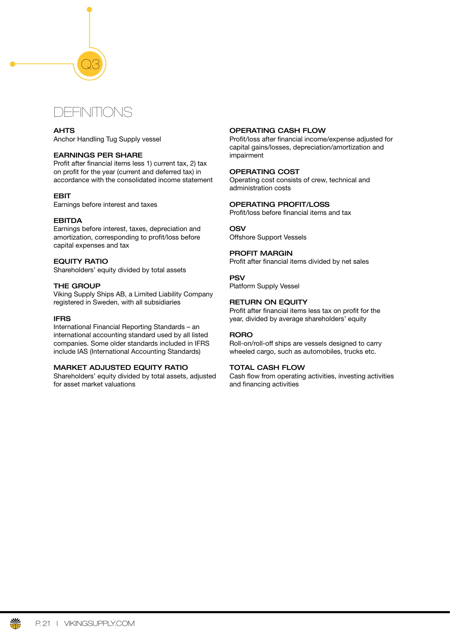# DEFINITIONS

Q3

# AHTS

Anchor Handling Tug Supply vessel

# EARNINGS PER SHARE

Profit after financial items less 1) current tax, 2) tax on profit for the year (current and deferred tax) in accordance with the consolidated income statement

# EBIT

Earnings before interest and taxes

# EBITDA

Earnings before interest, taxes, depreciation and amortization, corresponding to proft/loss before capital expenses and tax

# EQUITY RATIO

Shareholders' equity divided by total assets

# THE GROUP

Viking Supply Ships AB, a Limited Liability Company registered in Sweden, with all subsidiaries

### IFRS

International Financial Reporting Standards – an international accounting standard used by all listed companies. Some older standards included in IFRS include IAS (International Accounting Standards)

# MARKET ADJUSTED EQUITY RATIO

Shareholders' equity divided by total assets, adjusted for asset market valuations

# OPERATING CASH FLOW

Profit/loss after financial income/expense adjusted for capital gains/losses, depreciation/amortization and impairment

# OPERATING COST

Operating cost consists of crew, technical and administration costs

# OPERATING PROFIT/LOSS

Profit/loss before financial items and tax

# **OSV**

Offshore Support Vessels

# PROFIT MARGIN

Profit after financial items divided by net sales

# PSV

Platform Supply Vessel

# RETURN ON EQUITY

Profit after financial items less tax on profit for the year, divided by average shareholders' equity

# RORO

Roll-on/roll-off ships are vessels designed to carry wheeled cargo, such as automobiles, trucks etc.

# TOTAL CASH FLOW

Cash flow from operating activities, investing activities and financing activities